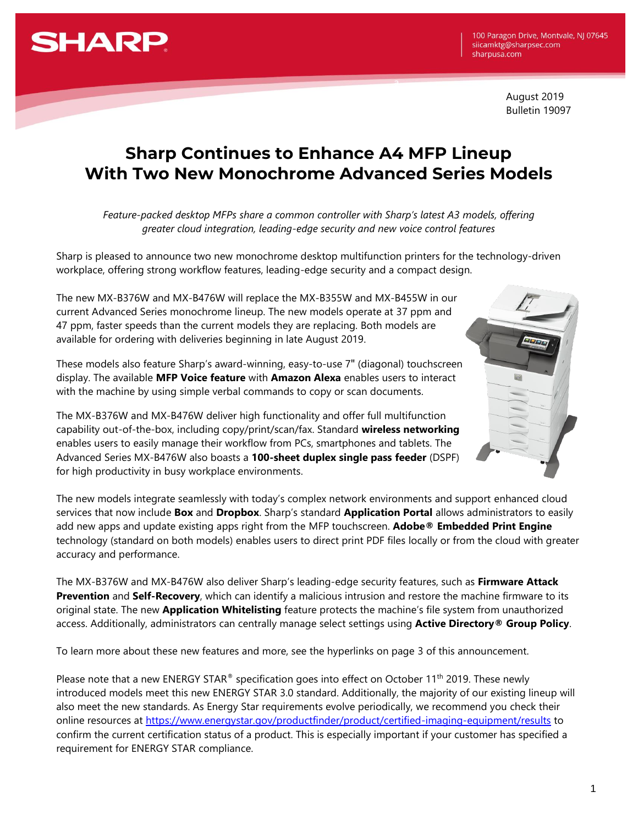

 August 2019 Bulletin 19097

## **Sharp Continues to Enhance A4 MFP Lineup With Two New Monochrome Advanced Series Models**

a

*Feature-packed desktop MFPs share a common controller with Sharp's latest A3 models, offering greater cloud integration, leading-edge security and new voice control features*

Sharp is pleased to announce two new monochrome desktop multifunction printers for the technology-driven workplace, offering strong workflow features, leading-edge security and a compact design.

The new MX-B376W and MX-B476W will replace the MX-B355W and MX-B455W in our current Advanced Series monochrome lineup. The new models operate at 37 ppm and 47 ppm, faster speeds than the current models they are replacing. Both models are available for ordering with deliveries beginning in late August 2019.

These models also feature Sharp's award-winning, easy-to-use 7" (diagonal) touchscreen display. The available **MFP Voice feature** with **Amazon Alexa** enables users to interact with the machine by using simple verbal commands to copy or scan documents.

The MX-B376W and MX-B476W deliver high functionality and offer full multifunction capability out-of-the-box, including copy/print/scan/fax. Standard **wireless networking** enables users to easily manage their workflow from PCs, smartphones and tablets. The Advanced Series MX-B476W also boasts a **100-sheet duplex single pass feeder** (DSPF) for high productivity in busy workplace environments.

The new models integrate seamlessly with today's complex network environments and support enhanced cloud services that now include **Box** and **Dropbox**. Sharp's standard **Application Portal** allows administrators to easily add new apps and update existing apps right from the MFP touchscreen. **Adobe® Embedded Print Engine** technology (standard on both models) enables users to direct print PDF files locally or from the cloud with greater accuracy and performance.

The MX-B376W and MX-B476W also deliver Sharp's leading-edge security features, such as **Firmware Attack Prevention** and **Self-Recovery**, which can identify a malicious intrusion and restore the machine firmware to its original state. The new **Application Whitelisting** feature protects the machine's file system from unauthorized access. Additionally, administrators can centrally manage select settings using **Active Directory® Group Policy**.

To learn more about these new features and more, see the hyperlinks on page 3 of this announcement.

Please note that a new ENERGY STAR® specification goes into effect on October 11<sup>th</sup> 2019. These newly introduced models meet this new ENERGY STAR 3.0 standard. Additionally, the majority of our existing lineup will also meet the new standards. As Energy Star requirements evolve periodically, we recommend you check their online resources at<https://www.energystar.gov/productfinder/product/certified-imaging-equipment/results> to confirm the current certification status of a product. This is especially important if your customer has specified a requirement for ENERGY STAR compliance.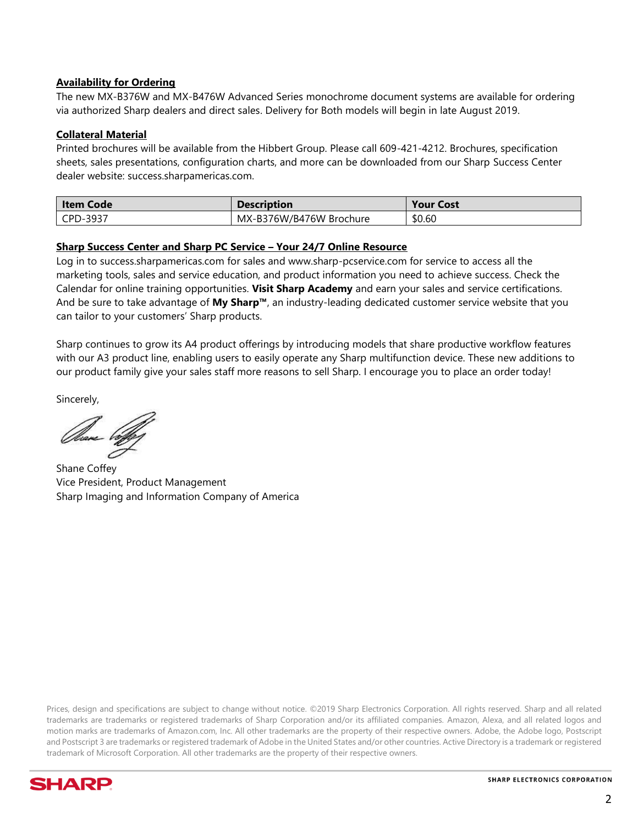### **Availability for Ordering**

The new MX-B376W and MX-B476W Advanced Series monochrome document systems are available for ordering via authorized Sharp dealers and direct sales. Delivery for Both models will begin in late August 2019.

#### **Collateral Material**

Printed brochures will be available from the Hibbert Group. Please call 609-421-4212. Brochures, specification sheets, sales presentations, configuration charts, and more can be downloaded from our Sharp Success Center dealer website: success.sharpamericas.com.

| Item Code | <b>Description</b>      | <b>Your Cost</b> |
|-----------|-------------------------|------------------|
| CPD-3937  | MX-B376W/B476W Brochure | \$0.60           |

#### **Sharp Success Center and Sharp PC Service – Your 24/7 Online Resource**

Log in to success.sharpamericas.com for sales and www.sharp-pcservice.com for service to access all the marketing tools, sales and service education, and product information you need to achieve success. Check the Calendar for online training opportunities. **Visit Sharp Academy** and earn your sales and service certifications. And be sure to take advantage of **My Sharp™**, an industry-leading dedicated customer service website that you can tailor to your customers' Sharp products.

Sharp continues to grow its A4 product offerings by introducing models that share productive workflow features with our A3 product line, enabling users to easily operate any Sharp multifunction device. These new additions to our product family give your sales staff more reasons to sell Sharp. I encourage you to place an order today!

Sincerely,

Shane Coffey Vice President, Product Management Sharp Imaging and Information Company of America

Prices, design and specifications are subject to change without notice. ©2019 Sharp Electronics Corporation. All rights reserved. Sharp and all related trademarks are trademarks or registered trademarks of Sharp Corporation and/or its affiliated companies. Amazon, Alexa, and all related logos and motion marks are trademarks of Amazon.com, Inc. All other trademarks are the property of their respective owners. Adobe, the Adobe logo, Postscript and Postscript 3 are trademarks or registered trademark of Adobe in the United States and/or other countries. Active Directory is a trademark or registered trademark of Microsoft Corporation. All other trademarks are the property of their respective owners.